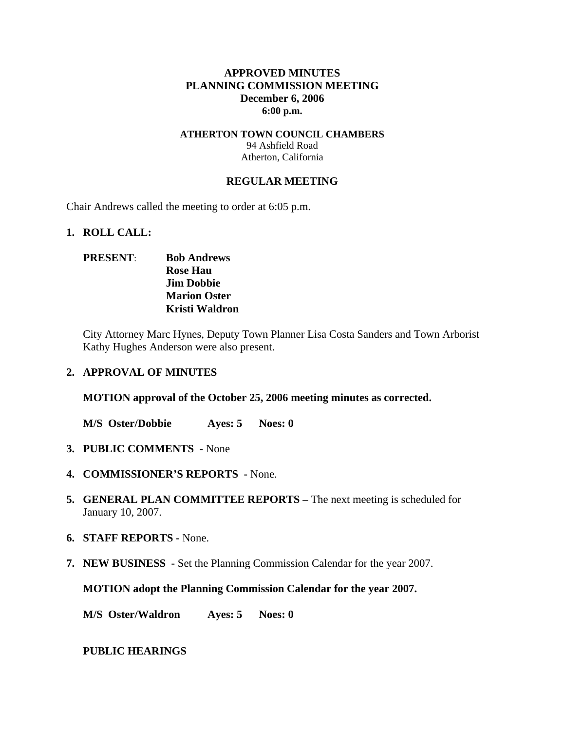## **APPROVED MINUTES PLANNING COMMISSION MEETING December 6, 2006 6:00 p.m.**

### **ATHERTON TOWN COUNCIL CHAMBERS**  94 Ashfield Road Atherton, California

#### **REGULAR MEETING**

Chair Andrews called the meeting to order at 6:05 p.m.

#### **1. ROLL CALL:**

## **PRESENT**: **Bob Andrews Rose Hau Jim Dobbie Marion Oster Kristi Waldron**

City Attorney Marc Hynes, Deputy Town Planner Lisa Costa Sanders and Town Arborist Kathy Hughes Anderson were also present.

#### **2. APPROVAL OF MINUTES**

**MOTION approval of the October 25, 2006 meeting minutes as corrected.** 

**M/S Oster/Dobbie Ayes: 5 Noes: 0** 

- **3. PUBLIC COMMENTS** None
- **4. COMMISSIONER'S REPORTS -** None.
- **5. GENERAL PLAN COMMITTEE REPORTS** The next meeting is scheduled for January 10, 2007.
- **6. STAFF REPORTS** None.
- **7. NEW BUSINESS** Set the Planning Commission Calendar for the year 2007.

**MOTION adopt the Planning Commission Calendar for the year 2007.** 

**M/S Oster/Waldron Ayes: 5 Noes: 0** 

#### **PUBLIC HEARINGS**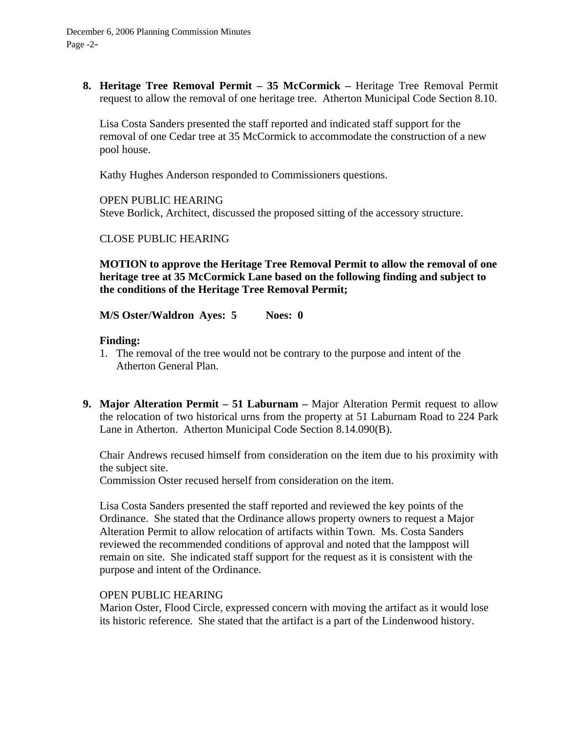**8. Heritage Tree Removal Permit – 35 McCormick –** Heritage Tree Removal Permit request to allow the removal of one heritage tree. Atherton Municipal Code Section 8.10.

Lisa Costa Sanders presented the staff reported and indicated staff support for the removal of one Cedar tree at 35 McCormick to accommodate the construction of a new pool house.

Kathy Hughes Anderson responded to Commissioners questions.

OPEN PUBLIC HEARING Steve Borlick, Architect, discussed the proposed sitting of the accessory structure.

CLOSE PUBLIC HEARING

**MOTION to approve the Heritage Tree Removal Permit to allow the removal of one heritage tree at 35 McCormick Lane based on the following finding and subject to the conditions of the Heritage Tree Removal Permit;** 

**M/S Oster/Waldron Ayes: 5 Noes: 0** 

### **Finding:**

- 1. The removal of the tree would not be contrary to the purpose and intent of the Atherton General Plan.
- **9. Major Alteration Permit 51 Laburnam** Major Alteration Permit request to allow the relocation of two historical urns from the property at 51 Laburnam Road to 224 Park Lane in Atherton. Atherton Municipal Code Section 8.14.090(B).

Chair Andrews recused himself from consideration on the item due to his proximity with the subject site.

Commission Oster recused herself from consideration on the item.

Lisa Costa Sanders presented the staff reported and reviewed the key points of the Ordinance. She stated that the Ordinance allows property owners to request a Major Alteration Permit to allow relocation of artifacts within Town. Ms. Costa Sanders reviewed the recommended conditions of approval and noted that the lamppost will remain on site. She indicated staff support for the request as it is consistent with the purpose and intent of the Ordinance.

### OPEN PUBLIC HEARING

Marion Oster, Flood Circle, expressed concern with moving the artifact as it would lose its historic reference. She stated that the artifact is a part of the Lindenwood history.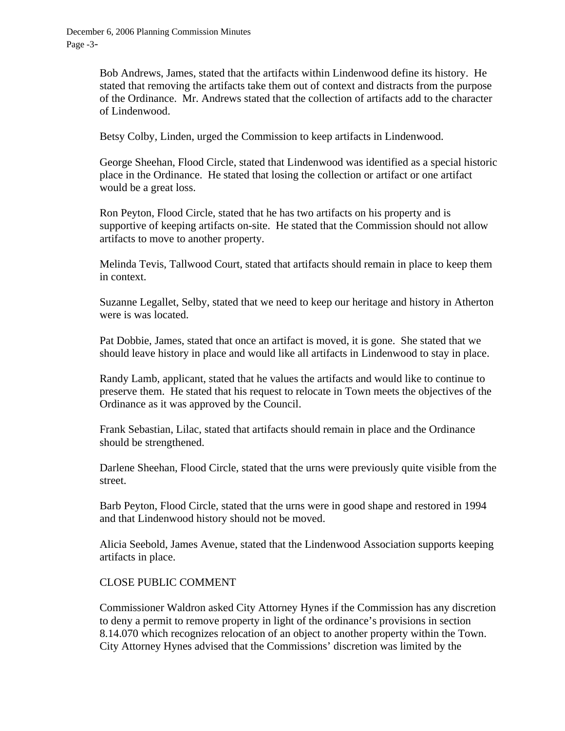Bob Andrews, James, stated that the artifacts within Lindenwood define its history. He stated that removing the artifacts take them out of context and distracts from the purpose of the Ordinance. Mr. Andrews stated that the collection of artifacts add to the character of Lindenwood.

Betsy Colby, Linden, urged the Commission to keep artifacts in Lindenwood.

George Sheehan, Flood Circle, stated that Lindenwood was identified as a special historic place in the Ordinance. He stated that losing the collection or artifact or one artifact would be a great loss.

Ron Peyton, Flood Circle, stated that he has two artifacts on his property and is supportive of keeping artifacts on-site. He stated that the Commission should not allow artifacts to move to another property.

Melinda Tevis, Tallwood Court, stated that artifacts should remain in place to keep them in context.

Suzanne Legallet, Selby, stated that we need to keep our heritage and history in Atherton were is was located.

Pat Dobbie, James, stated that once an artifact is moved, it is gone. She stated that we should leave history in place and would like all artifacts in Lindenwood to stay in place.

Randy Lamb, applicant, stated that he values the artifacts and would like to continue to preserve them. He stated that his request to relocate in Town meets the objectives of the Ordinance as it was approved by the Council.

Frank Sebastian, Lilac, stated that artifacts should remain in place and the Ordinance should be strengthened.

Darlene Sheehan, Flood Circle, stated that the urns were previously quite visible from the street.

Barb Peyton, Flood Circle, stated that the urns were in good shape and restored in 1994 and that Lindenwood history should not be moved.

Alicia Seebold, James Avenue, stated that the Lindenwood Association supports keeping artifacts in place.

### CLOSE PUBLIC COMMENT

Commissioner Waldron asked City Attorney Hynes if the Commission has any discretion to deny a permit to remove property in light of the ordinance's provisions in section 8.14.070 which recognizes relocation of an object to another property within the Town. City Attorney Hynes advised that the Commissions' discretion was limited by the